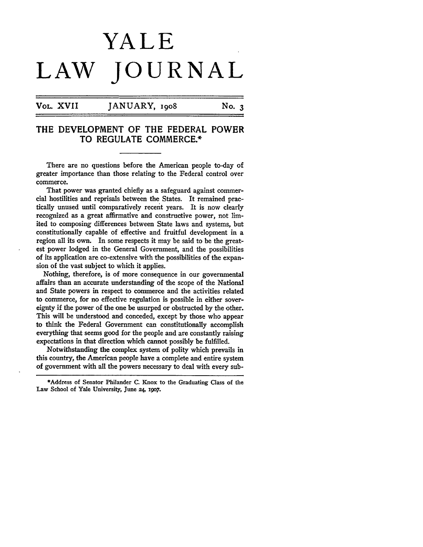## **YALE LAW JOURNAL**

## **VOL. XVII** JANUARY, **19o8 No.** 3

## **THE DEVELOPMENT OF THE FEDERAL POWER** TO **REGULATE** COMMERCE.\*

There are no questions before the American people to-day of greater importance than those relating to the Federal control over commerce.

That power was granted chiefly as a safeguard against commercial hostilities and reprisals between the States. It remained practically unused until comparatively recent years. It is now clearly recognized as a great affirmative and constructive power, not limited to composing differences between State laws and systems, but constitutionally capable of effective and fruitful development in a region all its own. In some respects it may be said to be the greatest power lodged in the General Government, and the possibilities of its application are co-extensive with the possibilities of the expansion of the vast subject to which it applies.

Nothing, therefore, is of more consequence in our governmental affairs than an accurate understanding of the scope of the National and State powers in respect to commerce and the activities related to commerce, for no effective regulation is possible in either sovereignty if the power of the one **be** usurped or obstructed **by** the other. This will be understood and conceded, except **by** those who appear to think the Federal Government can constitutionally accomplish everything that seems good for the people and are constantly raising expectations in that direction which cannot possibly be fulfilled.

Notwithstanding the complex system of polity which prevails in this country, the American people have a complete and entire system of government with all the powers necessary to deal with every sub-

<sup>\*</sup>Address of Senator Philander **C.** Knox to the Graduating Class of the Law School of Yale University, June *24,* i9o7.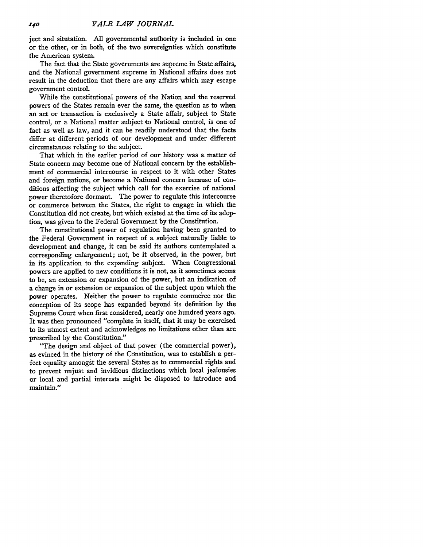ject and situtation. **All** governmental authority is included in one or the other, or in both, of the two sovereignties which constitute the American system.

The fact that the State governments are supreme in State affairs, and the National government supreme in National affairs does not result in the deduction that there are any affairs which may escape government control.

While the constitutional powers of the Nation and the reserved powers of the States remain ever the same, the question as to when an act or transaction is exclusively a State affair, subject to State control, or a National matter subject to National control, is one of fact as well as law, and it can be readily understood that the facts differ at different periods of our development and under different circumstances relating to the subject.

That which in the earlier period of our history was a matter of State concern may become one of National concern **by** the establishment of commercial intercourse in respect to it with other States and foreign nations, or become a National concern because of conditions affecting the subject which call for the exercise of national power theretofore dormant. The power to regulate this intercourse or commerce between the States, the right to engage in which the Constitution did not create, but which existed at the time of its adoption, was given to the Federal Government **by** the Constitution.

The constitutional power of regulation having been granted to the Federal Government in respect of a subject naturally liable to development and change, it can be said its authors contemplated a corresponding enlargement; not, be it observed, in the power, but in its application to the expanding subject. When Congressional powers are applied to new conditions it is not, as it sometimes seems to be, an extension or expansion of the power, but an indication of a change in or extension or expansion of the subject upon which the power operates. Neither the power to regulate commerce nor the conception of its scope has expanded beyond its definition **by** the Supreme Court when first considered, nearly one hundred years ago. It was then pronounced "complete in itself, that it may be exercised to its utmost extent and acknowledges no limitations other than are prescribed **by** the Constitution."

"The design and object of that power (the commercial power), as evinced in the history of the Constitution, was to establish a perfect equality amongst the several States as to commercial rights and to prevent unjust and invidious distinctions which local jealousies or local and partial interests might be disposed to introduce and maintain."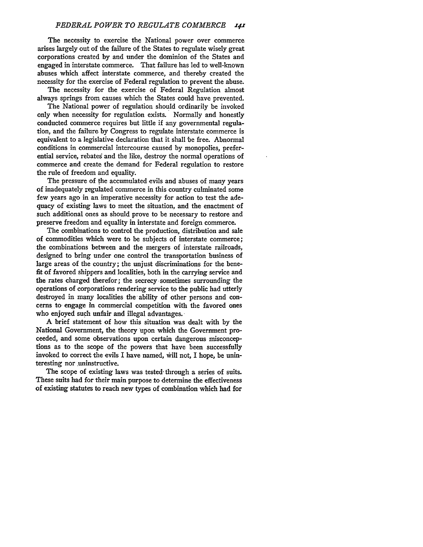The necessity to exercise the National power over commerce arises largely out of the failure of the States to regulate wisely great corporations created by and under the dominion of the States and engaged in interstate commerce. That failure has led to well-known abuses which affect interstate commerce, and thereby created the necessity for the exercise of Federal regulation to prevent the abuse.

The necessity for the exercise of Federal Regulation almost always springs from causes which the States could have prevented.

The National power of regulation should ordinarily be invoked only when necessity for regulation exists. Normally and honestly conducted commerce requires but little if any governmental regulation, and the failure by Congress to regulate interstate commerce is equivalent to a legislative declaration that it shall be free. Abnormal conditions in commercial intercourse caused by monopolies, preferential service, rebates and the like, destroy the normal operations of commerce and create the demand for Federal regulation to restore the rule of freedom and equality.

The pressure of the accumulated evils and abuses of many years of inadequately regulated commerce in this country culminated some few years ago in an imperative necessity for action to test the adequacy of existing laws to meet the situation, and the enactment of such additional ones as should prove to be necessary to restore and preserve freedom and equality in interstate and foreign commerce.

The combinations to control the production, distribution and sale of commodities which were to be subjects of interstate commerce; the combinations between and the mergers of interstate railroads, designed to bring under one control the transportation business of large areas of the country; the unjust discriminations for the benefit of favored shippers and localities, both in the carrying service and the rates charged therefor; the secrecy sometimes surrounding the operations of corporations rendering service to the public had utterly destroyed in many localities the'ability of other persons and concerns to engage in commercial competition with the favored ones who enjoyed such unfair and illegal advantages.

**A** brief statement of how this situation was dealt with by the National Government, the theory upon which the Government proceeded, and some observations upon certain dangerous misconceptions as to the scope of the powers that have been successfully invoked to correct the evils I have named, will not, I hope, be uninteresting nor uninstructive.

The scope of existing laws was tested through a series of suits. These suits had for their main purpose to determine the effectiveness of existing statutes to reach new types of combination which had for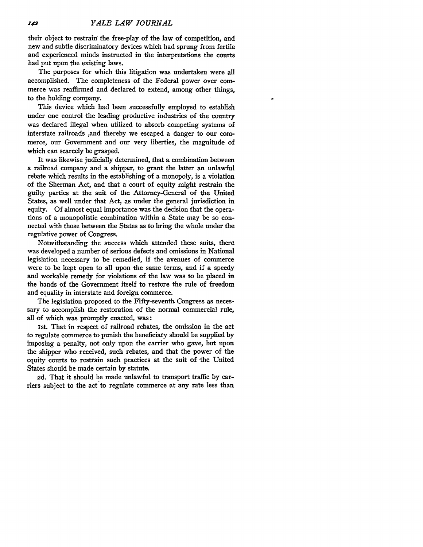their object to restrain the free-play of the law of competition, and new and subtle discriminatory devices which had sprung from fertile and experienced minds instructed in the interpretations the courts had put upon the existing laws.

The purposes for which this litigation was undertaken were all accomplished. The completeness of the Federal power over commerce was reaffirmed and declared to extend, among other things, to the holding company.

This device which had been successfully employed to establish under one control the leading productive industries of the country was declared illegal when utilized to absorb competing systems of interstate railroads ,and thereby we escaped a danger to our commerce, our Government and our very liberties, the magnitude of which can scarcely be grasped.

It was likewise judicially determined, that a combination between a railroad company and a shipper, to grant the latter an unlawful rebate which results in the establishing of a monopoly, is a violation of the Sherman Act, and that a court of equity might restrain the guilty parties at the suit of the Attorney-General of the United States, as well under that Act, as under the general jurisdiction in equity. **Of** almost equal importance was the decision that the operations of a monopolistic combination within a State may be so connected with those between the States as to bring the whole under the regulative power of Congress.

Notwithstanding the success which attended these suits, there was developed a number of serious defects and omissions in National legislation necessary to be remedied, if the avenues of commerce were to be kept open to all upon the same terms, and if a speedy and workable remedy for violations of the law was to be placed in the hands of the Government itself to restore the rule of freedom and equality in interstate and foreign commerce.

The legislation proposed to the Fifty-seventh Congress as necessary to accomplish the restoration of the normal commercial rule, all of which was promptly enacted, was:

Ist. That in respect of railroad rebates, the omission in the act to regulate commerce to punish the beneficiaty should be supplied **by** imposing a penalty, not only upon the carrier who gave, but upon the shipper who received, such rebates, and that the power of the equity courts to restrain such practices at the suit of the United States should be made certain **by** statute.

**2d.** That it should be made unlawful to transport traffic **by** carriers subject to the act to regulate commerce at any rate less than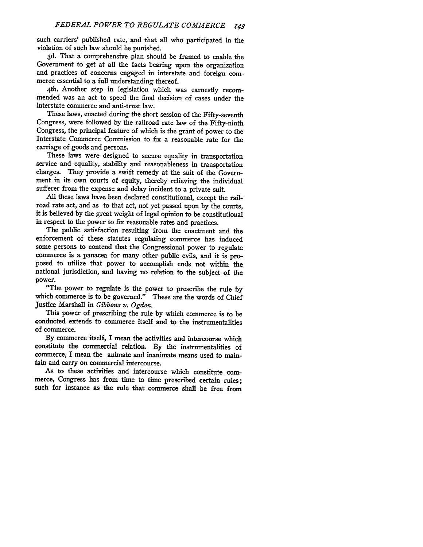such carriers' published rate, and that all who participated in the violation of such law should be punished.

3d. That a comprehensive plan should be framed to enable the Government to get at all the facts bearing upon the organization and practices of concerns engaged in interstate and foreign commerce essential to a full understanding thereof.

<sup>4</sup> th. Another step in legislation which was earnestly recommended was an act to speed the final decision of cases under the interstate commerce and anti-trust law.

These laws, enacted during the short session of the Fifty-seventh Congress, were followed by the railroad rate law of the Fifty-ninth Congress, the principal feature of which is the grant of power to the Interstate Commerce Commission to fix a reasonable rate for the carriage of goods and persons.

These laws were designed to secure equality in transportation service and equality, stability and reasonableness in transportation charges. They provide a swift remedy at the suit of the Government in its own courts of equity, thereby relieving the individual sufferer from the expense and delay incident to a private suit.

All these laws have been declared constitutional, except the railroad rate act, and as to that act, not yet passed upon by the courts, it is believed by the great weight of legal opinion to be constitutional in respect to the power to fix reasonable rates and practices.

The public satisfaction resulting from the enactment and the enforcement of these statutes regulating commerce has induced some persons to contend that the Congressional power to regulate commerce is a panacea for many other public evils, and it is proposed to utilize that power to accomplish ends not within the national jurisdiction, and having no relation to the subject of the power.

"The power to regulate is the power to prescribe the rule by which commerce is to be governed." These are the words of Chief Justice Marshall in *Gibbons v. Ogden.*

This power of prescribing the rule **by** which commerce is to be conducted extends to commerce itself and to the instrumentalities of commerce.

**By** commerce itself, I mean the activities and intercourse which constitute the commercial relation. **By** the instrumentalities of commerce, I mean the animate and inanimate means used to maintain and carry on commercial intercourse.

As to these activities and intercourse which constitute commerce, Congress has from time to time prescribed certain rules; such for instance as the rule that commerce shall be free from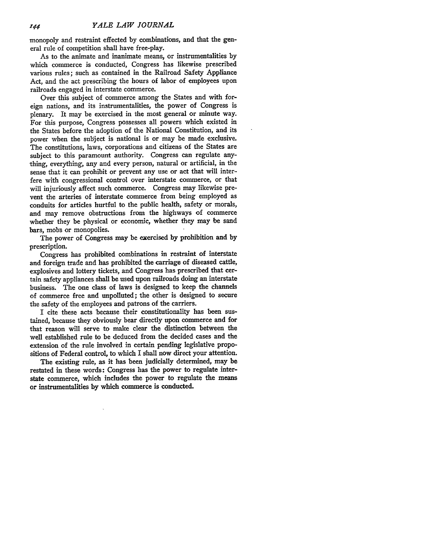monopoly and restraint effected by combinations, and that the general rule of competition shall have free-play.

As to the animate and inanimate means, or instrumentalities by which commerce is conducted, Congress has likewise prescribed various rules; such as contained in the Railroad Safety Appliance Act, and the act prescribing the hours of labor of employees upon railroads engaged in interstate commerce.

Over this subject of commerce among the States and with foreign nations, and its instrumentalities, the power of Congress is plenary. It may be exercised in the most general or minute way. For this purpose, Congress possesses all powers which existed in the States before the adoption of the National Constitution, and its power when the subject is national is or may be made exclusive. The constitutions, laws, corporations and citizens of the States are subject to this paramount authority. Congress can regulate anything, everything, any and every person, natural or artificial, in the sense that it can prohibit or prevent any use or act that will interfere with congressional control over interstate commerce, or that will injuriously affect such commerce. Congress may likewise prevent the arteries of interstate commerce from being employed as conduits for articles hurtful to the public health, safety or morals, and may remove obstructions from the highways of commerce whether they be physical or economic, whether they may be sand bars, mobs or monopolies.

The power of Congress may be exercised by prohibition and by prescription.

Congress has prohibited combinations in restraint of interstate and foreign trade and has prohibited the carriage of diseased cattle, explosives and lottery tickets, and Congress has prescribed that certain safety appliances shall be used upon railroads doing an interstate business. The one class of laws is designed to keep the channels of commerce free and unpolluted; the other is designed to secure the safety of the employees and patrons of the carriers.

I cite these acts because their constitutionality has been sustained, because they obviously bear directly upon commerce and for that reason will serve to make clear the distinction between the well established rule to be deduced from the decided cases and the extension of the rule involved in certain pending legislative propositions of Federal control, to which I shall now direct your attention.

The existing rule, as it has been judicially determined, may be restated in these words: Congress has the power to regulate interstate commerce, which includes the power to regulate the means or instrumentalities by which commerce is conducted.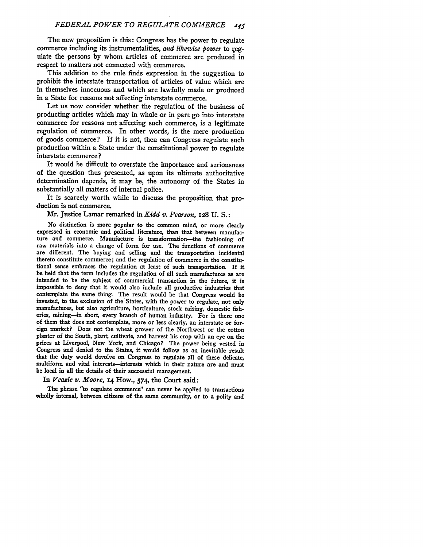The new proposition is this: Congress has the power to regulate commerce including its instrumentalities, *and likewise power* to egulate the persons **by** whom articles of commerce are produced in respect to matters not connected with commerce.

This addition to the rule finds expression in the suggestion to prohibit the interstate transportation of articles of value which are in themselves innocuous and which are lawfully made or produced in a State for reasons not affecting interstate commerce.

Let us now consider whether the regulation of the business of producting articles which may in whole or in part go into interstate commerce for reasons not affecting such commerce, is a legitimate regulation of commerce. In other words, is the mere production of goods commerce? If it is not, then can Congress regulate such production within a State under the constitutional power to regulate interstate commerce?

It would be difficult to overstate the importance and seriousness of the question thus presented, as upon its ultimate authoritative determination depends, it may be, the autonomy of the States in substantially all matters of internal police.

It is scarcely worth while to discuss the proposition that production is not commerce.

Mr. Justice Lamar remarked in *Kidd v. Pearson,* **128 U. S.:**

No distinction is more popular to the common mind, or more clearly expressed in economic and political literature, than that between manufacture and commerce. Manufacture is transformation-the fashioning of raw materials into a change of form for use. The functions of commerce are different. The buying and selling and the transportation incidental thereto constitute commerce; and the regulation of commerce in the constitutional sense embraces the regulation at least of such transportation. If it **be** held that the term includes the regulation of all such manufactures as are intended to be the subject of commercial transaction in the future, it is impossible to deny that it would also include all productive industries that contemplate the same thing. The result would be that Congress would be invested, to the exclusion of the States, with the power to regulate, not only manufactures, but also agriculture, horticulture, stock raising, domestic fisheries, mining-in short, every branch of human industry. For is there one of them that does not contemplate, more or less clearly, an interstate or foreign market? Does not the wheat grower of the Northwest or the cotton planter of the South, plant, cultivate, and harvest his crop with an eye on the prices at Liverpool, New York, and Chicago? The power being vested in Congress and denied to the States, it would follow as an inevitable result that the duty would devolve on Congress to regulate all of these delicate, multiform and vital interests-interests which in their nature are and must be local in all the details of their successful management.

In *Veazie v. Moore,* **14** How., 574, the Court said:

The phrase "to regulate commerce" can never be applied to transactions wholly internal, between citizens of the same community, or to a polity and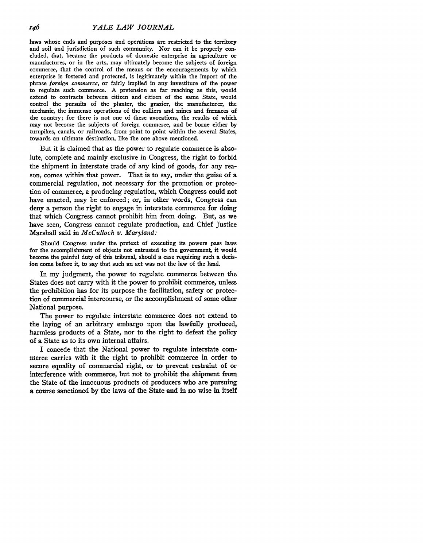laws whose ends and purposes and operations are restricted to the territory and soil and jurisdiction of such community. Nor can it be properly concluded, that, because the products of domestic enterprise in agriculture or manufactures, or in the arts, may ultimately become the subjects of foreign commerce, that the control of the means or the encouragements by which enterprise is fostered and protected, is legitimately within the import of the phrase foreign commerce, or fairly implied in any investiture of the power to regulate such commerce. **A** pretension as far reaching as this, would extend to contracts between citizen and citizen of the same State, would control the pursuits of the planter, the grazier, the manufacturer, the mechanic, the immense operations of the colliers and mines and furnaces of the country; for there is not one of these avocations, the results of which may not become the subjects of foreign commerce, and be borne either **by** turnpikes, canals, or railroads, from point to point within the several Stafes, towards an ultimate destination, like the one above mentioned.

But it is claimed that as the power to regulate commerce is absolute, complete and mainly exclusive in Congress, the right to forbid the shipment in interstate trade of any kind of goods, for any reason, comes within that power. That is to say, under the guise of a commercial regulation, not necessary for the promotion or protection of commerce, a producing regulation, which Congress could not have enacted, may be enforced; or, in other words, Congress can deny a person the right to engage in interstate commerce for doing that which Congress cannot prohibit him from doing. But, as we have seen, Congress cannot regulate production, and Chief Justice Marshall said in *McCulloch v. Maryland:*

Should Congress under the pretext of executing its powers pass laws for the accomplishment of objects not entrusted to the government, it would become the painful duty of this tribunal, should a case requiring such a decision come before it, to say that such an act was not the law of the land.

In my judgment, the power to regulate commerce between the States does not carry with it the power to prohibit commerce, unless the prohibition has for its purpose the facilitation, safety or protection of commercial intercourse, or the accomplishment of some other National purpose.

The power to regulate interstate commerce does not extend to the laying of an arbitrary embargo upon the lawfully produced, harmless products of a State, nor to the right to defeat the policy of a State as to its own internal affairs.

I concede that the National power to regulate interstate commerce carries with it the right to prohibit commerce in order to secure equality of commercial right, or to prevent restraint of or interference with commerce, but not to prohibit the shipment from the State of the innocuous products of producers who are pursuing a course sanctioned **by** the laws of the State and in no wise in itself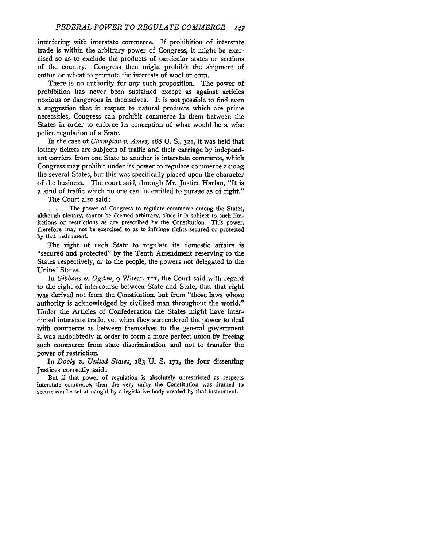interfering with interstate commerce. If prohibition of interstate trade is within the arbitrary power of Congress, it might be exercised so as to exclude the products of particular states or sections of the country. Congress then might prohibit the shipment of cotton or wheat to promote the interests of wool or corn.

There is no authority for any such proposition. The power of prohibition has never been sustained except as against articles noxious or dangerous in themselves. It is not possible to find even a suggestion that in respect to natural products which are prime necessities, Congress can prohibit commerce in them between the States in order to enforce its conception of what would be a wise police regulation of a State.

In the case of *Champion v. Ames,* 188 U. **S., 321,** it was held that lottery tickets are subjects of traffic and their carriage by independent carriers from one State to another is interstate commerce, which Congress may prohibit under its power to regulate commerce among the several States, but this was specifically placed upon the character of the business. The court said, through Mr. Justice Harlan, "It is a kind of traffic which no one can be entitled to pursue as of right."

The Court also said:

• **. .** The power of Congress to regulate commerce among the States, although plenary, cannot be deemed arbitrary, since it is subject to such limitations or restrictions as are prescribed by the Constitution. This power, therefore, may not be exercised so as to infringe rights secured or protected **by** that instrument.

The right of each State to regulate its domestic affairs is "secured and protected" **by** the Tenth Amendment reserving to **the** States respectively, or to the people, the powers not delegated to the United States.

In *Gibbons v. Ogden, 9* Wheat. **iii,** the Court said with regard to the right of intercourse between State and State, that that right was derived not from the Constitution, but from "those laws whose authority is acknowledged **by** civilized man throughout the world." Under the Articles of Confederation the States might have interdicted interstate trade, yet when they surrendered the power to deal with commerce as between themselves to the general government it was undoubtedly in order to form a more perfect union by freeing such commerce from state discrimination and not to transfer the power of restriction.

In *Dooly v. United States,* 183 **U. S.** *171,* the four dissenting Justices correctly said:

But if that power of regulation is absolutely unrestricted as respects interstate commerce, then the very unity the Constitution was framed to secure can be set at naught **by** a legislative body created by that instrument.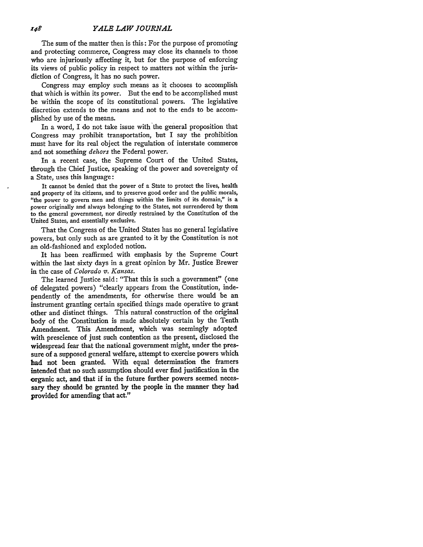The sum of the matter then is this: For the purpose of promoting and protecting commerce, Congress may close its channels to those who are injuriously affecting it, but for the purpose of enforcing its views of public policy in respect to matters not within the jurisdiction of Congress, it has no such power.

Congress may employ such means as it chooses to accomplish that which is within its power. But the end to be accomplished must be within the scope of its constitutional powers. The legislative discretion extends to the means and not to the ends to be accomplished **by** use of the means.

In a word, I do not take issue with the general proposition that Congress may prohibit transportation, but I say the prohibition must have for its real object the regulation of interstate commerce and not something *dehors* the Federal power.

In a recent case, the Supreme Court of the United States, through the Chief Justice, speaking of the power and sovereignty of a State, uses this language:

It cannot be denied that the power of a State to protect the lives, health and property of its citizens, and to preserve good order and the public morals, "the power to govern men and things within the limits of its domain," is a power originally and always belonging to the States, not surrendered **by** them to the general government, nor directly restrained **by** the Constitution of the United States, and essentially exclusive.

That the Congress of the United States has no general legislative powers, but only such as are granted to it by the Constitution is not an old-fashioned and exploded notion.

It has been reaffirmed with emphasis **by** the Supreme Court within the last sixty days in a great opinion **by** Mr. Justice Brewer in the case of *Colorado v. Kansas.*

The learned Justice said: "That this is such a government" (one of delegated powers) "clearly appears from the Constitution, independently of the amendments, for otherwise there would be an instrument granting certain specified things made operative to grant other and distinct things. This natural construction of the original body of the Constitution is made absolutely certain **by** the Tenth Amendment. This Amendment, which was seemingly adopted with prescience of just such contention as the present, disclosed the widespread fear that the national government might, under the pressure of a supposed general welfare, attempt to exercise powers which had not been granted. With equal determination the framers intended that no such assumption should ever find justification in the organic act, and that if in the future further powers seemed necessary they should be granted by the people in the manner they had provided for amending that act."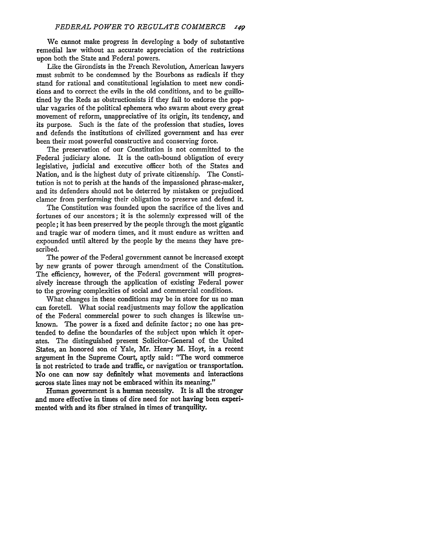We cannot make progress in developing a body of substantive remedial law without an accurate appreciation of the restrictions upon both the State and Federal powers.

Like the Girondists in the French Revolution, American lawyers must submit to be condemned by the Bourbons as radicals if they stand for rational and constitutional legislation to meet new conditions and to correct the evils in the old conditions, and to be guillotined by the Reds as obstructionists if they fail to endorse the popular vagaries of the political ephemera who swarm about every great movement of reform, unappreciative of its origin, its tendency, and its purpose. Such is the fate of the profession that studies, loves and defends the institutions of civilized government and has ever been their most powerful constructive and conserving force.

The preservation of our Constitution is not committed to the Federal judiciary alone. It is the oath-bound obligation of every legislative, judicial and executive officer both of the States and Nation, and is the highest duty of private citizenship. The Constitution is not to perish at the hands of the impassioned phrase-maker, and its defenders should not be deterred by mistaken or prejudiced clamor from performing their obligation to preserve and defend it.

The Constitution was founded upon the sacrifice of the lives and fortunes of our ancestors; it is the solemnly expressed will of the people; it has been preserved by the people through the most gigantic and tragic war of modern times, and it must endure as written and expounded until altered by the people by the means they have prescribed.

The power of the Federal government cannot be increased except by new grants of power through amendment of the Constitution. The efficiency, however, of the Federal government will progressively increase through the application of existing Federal power to the growing complexities of social and commercial conditions.

What changes in these conditions may be in store for us no man can foretell. What social readjustments may follow the application of the Federal commercial power to such changes is likewise unknown. The power is a fixed and definite factor; no one has pretended to define the boundaries of the subject upon which it operates. The distinguished present Solicitor-General of the United States, an honored son of Yale, Mr. Henry M. Hoyt, in a recent argument in the Supreme Court, aptly said: "The word commerce is not restricted to trade and traffic, or navigation or transportation. No one can now say definitely what movements and interactions across state lines may not be embraced within its meaning."

Human government is a human necessity. It is all the stronger and more effective in times of dire need for not having been experimented with and its fiber strained in times of tranquility.